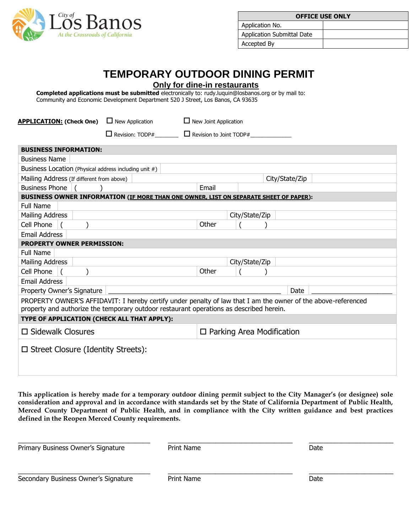

| <b>OFFICE USE ONLY</b>     |  |  |  |  |
|----------------------------|--|--|--|--|
| Application No.            |  |  |  |  |
| Application Submittal Date |  |  |  |  |
| Accepted By                |  |  |  |  |

## **TEMPORARY OUTDOOR DINING PERMIT**

**Only for dine-in restaurants**

**Completed applications must be submitted** electronically to: rudy.luquin@losbanos.org or by mail to: Community and Economic Development Department 520 J Street, Los Banos, CA 93635

| <b>APPLICATION: (Check One)</b><br>$\Box$ New Application<br>$\Box$ New Joint Application                     |       |                |                                  |  |  |  |
|---------------------------------------------------------------------------------------------------------------|-------|----------------|----------------------------------|--|--|--|
| $\Box$ Revision: TODP#<br>$\Box$ Revision to Joint TODP#                                                      |       |                |                                  |  |  |  |
| <b>BUSINESS INFORMATION:</b>                                                                                  |       |                |                                  |  |  |  |
|                                                                                                               |       |                |                                  |  |  |  |
| <b>Business Name</b>                                                                                          |       |                |                                  |  |  |  |
| Business Location (Physical address including unit #)                                                         |       |                |                                  |  |  |  |
| Mailing Address (If different from above)                                                                     |       |                | City/State/Zip                   |  |  |  |
| <b>Business Phone</b>                                                                                         | Email |                |                                  |  |  |  |
| BUSINESS OWNER INFORMATION (IF MORE THAN ONE OWNER, LIST ON SEPARATE SHEET OF PAPER):                         |       |                |                                  |  |  |  |
| <b>Full Name</b>                                                                                              |       |                |                                  |  |  |  |
| <b>Mailing Address</b>                                                                                        |       | City/State/Zip |                                  |  |  |  |
| Cell Phone                                                                                                    | Other |                |                                  |  |  |  |
| <b>Email Address</b>                                                                                          |       |                |                                  |  |  |  |
| <b>PROPERTY OWNER PERMISSION:</b>                                                                             |       |                |                                  |  |  |  |
| <b>Full Name</b>                                                                                              |       |                |                                  |  |  |  |
| <b>Mailing Address</b>                                                                                        |       | City/State/Zip |                                  |  |  |  |
| Cell Phone                                                                                                    | Other |                |                                  |  |  |  |
| <b>Email Address</b>                                                                                          |       |                |                                  |  |  |  |
| Property Owner's Signature                                                                                    |       |                | Date                             |  |  |  |
| PROPERTY OWNER'S AFFIDAVIT: I hereby certify under penalty of law that I am the owner of the above-referenced |       |                |                                  |  |  |  |
| property and authorize the temporary outdoor restaurant operations as described herein.                       |       |                |                                  |  |  |  |
| TYPE OF APPLICATION (CHECK ALL THAT APPLY):                                                                   |       |                |                                  |  |  |  |
| $\square$ Sidewalk Closures                                                                                   |       |                | $\Box$ Parking Area Modification |  |  |  |
| $\Box$ Street Closure (Identity Streets):                                                                     |       |                |                                  |  |  |  |

**This application is hereby made for a temporary outdoor dining permit subject to the City Manager's (or designee) sole consideration and approval and in accordance with standards set by the State of California Department of Public Health, Merced County Department of Public Health, and in compliance with the City written guidance and best practices defined in the Reopen Merced County requirements.**

| Primary Business Owner's Signature   | Print Name | Date |  |
|--------------------------------------|------------|------|--|
| Secondary Business Owner's Signature | Print Name | Date |  |